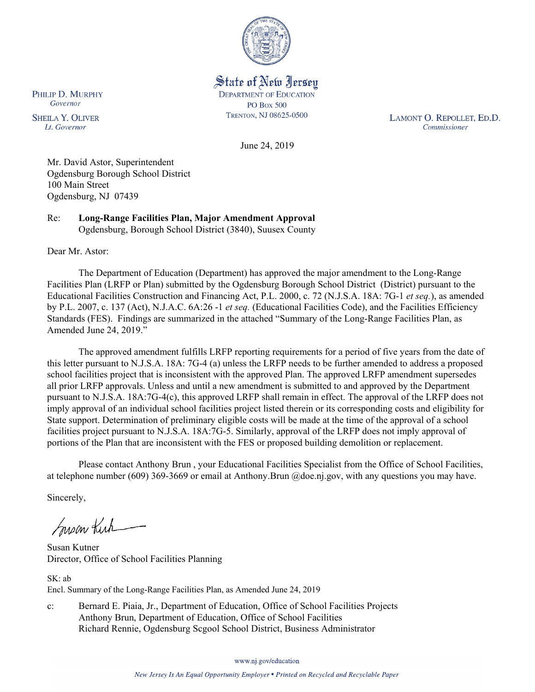

State of New Jersey **DEPARTMENT OF EDUCATION PO Box 500** TRENTON, NJ 08625-0500

LAMONT O. REPOLLET, ED.D. Commissioner

June 24, 2019

Mr. David Astor, Superintendent Ogdensburg Borough School District 100 Main Street Ogdensburg, NJ 07439

Re: **Long-Range Facilities Plan, Major Amendment Approval** Ogdensburg, Borough School District (3840), Suusex County

Dear Mr. Astor:

The Department of Education (Department) has approved the major amendment to the Long-Range Facilities Plan (LRFP or Plan) submitted by the Ogdensburg Borough School District (District) pursuant to the Educational Facilities Construction and Financing Act, P.L. 2000, c. 72 (N.J.S.A. 18A: 7G-1 *et seq.*), as amended by P.L. 2007, c. 137 (Act), N.J.A.C. 6A:26 -1 *et seq.* (Educational Facilities Code), and the Facilities Efficiency Standards (FES). Findings are summarized in the attached "Summary of the Long-Range Facilities Plan, as Amended June 24, 2019."

The approved amendment fulfills LRFP reporting requirements for a period of five years from the date of this letter pursuant to N.J.S.A. 18A: 7G-4 (a) unless the LRFP needs to be further amended to address a proposed school facilities project that is inconsistent with the approved Plan. The approved LRFP amendment supersedes all prior LRFP approvals. Unless and until a new amendment is submitted to and approved by the Department pursuant to N.J.S.A. 18A:7G-4(c), this approved LRFP shall remain in effect. The approval of the LRFP does not imply approval of an individual school facilities project listed therein or its corresponding costs and eligibility for State support. Determination of preliminary eligible costs will be made at the time of the approval of a school facilities project pursuant to N.J.S.A. 18A:7G-5. Similarly, approval of the LRFP does not imply approval of portions of the Plan that are inconsistent with the FES or proposed building demolition or replacement.

Please contact Anthony Brun , your Educational Facilities Specialist from the Office of School Facilities, at telephone number (609) 369-3669 or email at Anthony.Brun @doe.nj.gov, with any questions you may have.

Sincerely,

Susan Kich

Susan Kutner Director, Office of School Facilities Planning

SK: ab Encl. Summary of the Long-Range Facilities Plan, as Amended June 24, 2019

c: Bernard E. Piaia, Jr., Department of Education, Office of School Facilities Projects Anthony Brun, Department of Education, Office of School Facilities Richard Rennie, Ogdensburg Scgool School District, Business Administrator

www.nj.gov/education

PHILIP D. MURPHY Governor

**SHEILA Y. OLIVER** Lt. Governor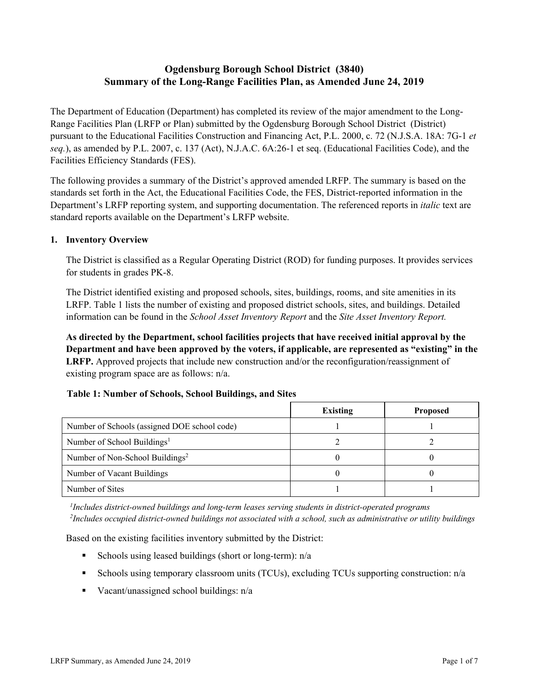# **Ogdensburg Borough School District (3840) Summary of the Long-Range Facilities Plan, as Amended June 24, 2019**

The Department of Education (Department) has completed its review of the major amendment to the Long-Range Facilities Plan (LRFP or Plan) submitted by the Ogdensburg Borough School District (District) pursuant to the Educational Facilities Construction and Financing Act, P.L. 2000, c. 72 (N.J.S.A. 18A: 7G-1 *et seq.*), as amended by P.L. 2007, c. 137 (Act), N.J.A.C. 6A:26-1 et seq. (Educational Facilities Code), and the Facilities Efficiency Standards (FES).

The following provides a summary of the District's approved amended LRFP. The summary is based on the standards set forth in the Act, the Educational Facilities Code, the FES, District-reported information in the Department's LRFP reporting system, and supporting documentation. The referenced reports in *italic* text are standard reports available on the Department's LRFP website.

### **1. Inventory Overview**

The District is classified as a Regular Operating District (ROD) for funding purposes. It provides services for students in grades PK-8.

The District identified existing and proposed schools, sites, buildings, rooms, and site amenities in its LRFP. Table 1 lists the number of existing and proposed district schools, sites, and buildings. Detailed information can be found in the *School Asset Inventory Report* and the *Site Asset Inventory Report.*

**As directed by the Department, school facilities projects that have received initial approval by the Department and have been approved by the voters, if applicable, are represented as "existing" in the LRFP.** Approved projects that include new construction and/or the reconfiguration/reassignment of existing program space are as follows: n/a.

# **Table 1: Number of Schools, School Buildings, and Sites**

|                                              | <b>Existing</b> | <b>Proposed</b> |
|----------------------------------------------|-----------------|-----------------|
| Number of Schools (assigned DOE school code) |                 |                 |
| Number of School Buildings <sup>1</sup>      |                 |                 |
| Number of Non-School Buildings <sup>2</sup>  |                 |                 |
| Number of Vacant Buildings                   |                 |                 |
| Number of Sites                              |                 |                 |

*1 Includes district-owned buildings and long-term leases serving students in district-operated programs 2 Includes occupied district-owned buildings not associated with a school, such as administrative or utility buildings*

Based on the existing facilities inventory submitted by the District:

- Schools using leased buildings (short or long-term):  $n/a$
- Schools using temporary classroom units (TCUs), excluding TCUs supporting construction: n/a
- Vacant/unassigned school buildings:  $n/a$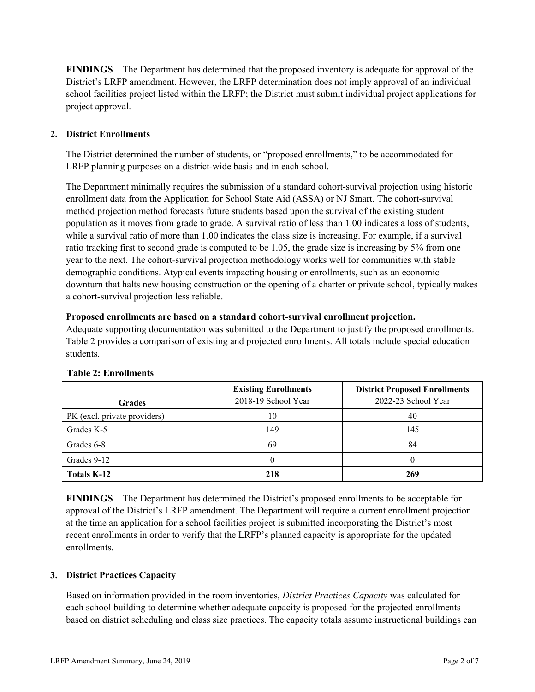**FINDINGS** The Department has determined that the proposed inventory is adequate for approval of the District's LRFP amendment. However, the LRFP determination does not imply approval of an individual school facilities project listed within the LRFP; the District must submit individual project applications for project approval.

# **2. District Enrollments**

The District determined the number of students, or "proposed enrollments," to be accommodated for LRFP planning purposes on a district-wide basis and in each school.

The Department minimally requires the submission of a standard cohort-survival projection using historic enrollment data from the Application for School State Aid (ASSA) or NJ Smart. The cohort-survival method projection method forecasts future students based upon the survival of the existing student population as it moves from grade to grade. A survival ratio of less than 1.00 indicates a loss of students, while a survival ratio of more than 1.00 indicates the class size is increasing. For example, if a survival ratio tracking first to second grade is computed to be 1.05, the grade size is increasing by 5% from one year to the next. The cohort-survival projection methodology works well for communities with stable demographic conditions. Atypical events impacting housing or enrollments, such as an economic downturn that halts new housing construction or the opening of a charter or private school, typically makes a cohort-survival projection less reliable.

### **Proposed enrollments are based on a standard cohort-survival enrollment projection.**

Adequate supporting documentation was submitted to the Department to justify the proposed enrollments. Table 2 provides a comparison of existing and projected enrollments. All totals include special education students.

| <b>Grades</b>                | <b>Existing Enrollments</b><br>2018-19 School Year | <b>District Proposed Enrollments</b><br>2022-23 School Year |
|------------------------------|----------------------------------------------------|-------------------------------------------------------------|
| PK (excl. private providers) | 10                                                 | 40                                                          |
| Grades K-5                   | 149                                                | 145                                                         |
| Grades 6-8                   | 69                                                 | 84                                                          |
| Grades 9-12                  |                                                    |                                                             |
| <b>Totals K-12</b>           | 218                                                | 269                                                         |

### **Table 2: Enrollments**

**FINDINGS** The Department has determined the District's proposed enrollments to be acceptable for approval of the District's LRFP amendment. The Department will require a current enrollment projection at the time an application for a school facilities project is submitted incorporating the District's most recent enrollments in order to verify that the LRFP's planned capacity is appropriate for the updated enrollments.

### **3. District Practices Capacity**

Based on information provided in the room inventories, *District Practices Capacity* was calculated for each school building to determine whether adequate capacity is proposed for the projected enrollments based on district scheduling and class size practices. The capacity totals assume instructional buildings can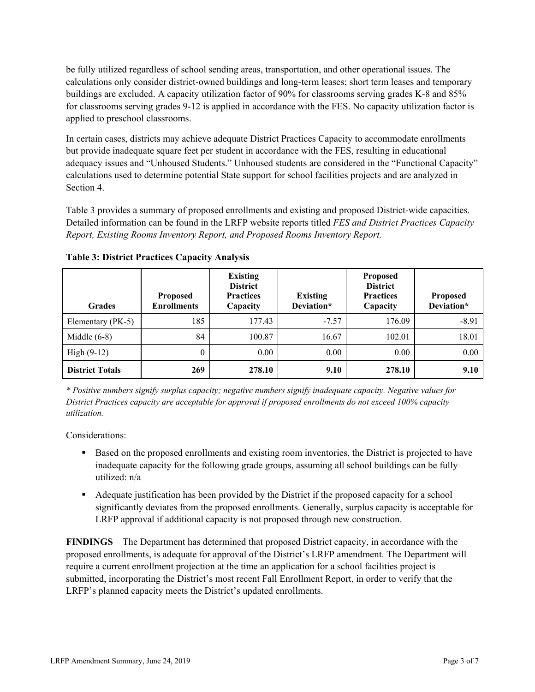be fully utilized regardless of school sending areas, transportation, and other operational issues. The calculations only consider district-owned buildings and long-term leases; short term leases and temporary buildings are excluded. A capacity utilization factor of 90% for classrooms serving grades K-8 and 85% for classrooms serving grades 9-12 is applied in accordance with the FES. No capacity utilization factor is applied to preschool classrooms.

In certain cases, districts may achieve adequate District Practices Capacity to accommodate enrollments but provide inadequate square feet per student in accordance with the FES, resulting in educational adequacy issues and "Unhoused Students." Unhoused students are considered in the "Functional Capacity" calculations used to determine potential State support for school facilities projects and are analyzed in Section 4.

Table 3 provides a summary of proposed enrollments and existing and proposed District-wide capacities. Detailed information can be found in the LRFP website reports titled *FES and District Practices Capacity Report, Existing Rooms Inventory Report, and Proposed Rooms Inventory Report.*

| <b>Grades</b>          | <b>Proposed</b><br><b>Enrollments</b> | <b>Existing</b><br><b>District</b><br><b>Practices</b><br>Capacity | <b>Existing</b><br>Deviation* | <b>Proposed</b><br><b>District</b><br><b>Practices</b><br>Capacity | <b>Proposed</b><br>Deviation* |
|------------------------|---------------------------------------|--------------------------------------------------------------------|-------------------------------|--------------------------------------------------------------------|-------------------------------|
| Elementary (PK-5)      | 185                                   | 177.43                                                             | $-7.57$                       | 176.09                                                             | $-8.91$                       |
| Middle $(6-8)$         | 84                                    | 100.87                                                             | 16.67                         | 102.01                                                             | 18.01                         |
| High $(9-12)$          | $\theta$                              | 0.00                                                               | 0.00                          | 0.00                                                               | 0.00                          |
| <b>District Totals</b> | 269                                   | 278.10                                                             | 9.10                          | 278.10                                                             | 9.10                          |

**Table 3: District Practices Capacity Analysis**

*\* Positive numbers signify surplus capacity; negative numbers signify inadequate capacity. Negative values for District Practices capacity are acceptable for approval if proposed enrollments do not exceed 100% capacity utilization.*

Considerations:

- Based on the proposed enrollments and existing room inventories, the District is projected to have inadequate capacity for the following grade groups, assuming all school buildings can be fully utilized: n/a
- Adequate justification has been provided by the District if the proposed capacity for a school significantly deviates from the proposed enrollments. Generally, surplus capacity is acceptable for LRFP approval if additional capacity is not proposed through new construction.

**FINDINGS**The Department has determined that proposed District capacity, in accordance with the proposed enrollments, is adequate for approval of the District's LRFP amendment. The Department will require a current enrollment projection at the time an application for a school facilities project is submitted, incorporating the District's most recent Fall Enrollment Report, in order to verify that the LRFP's planned capacity meets the District's updated enrollments.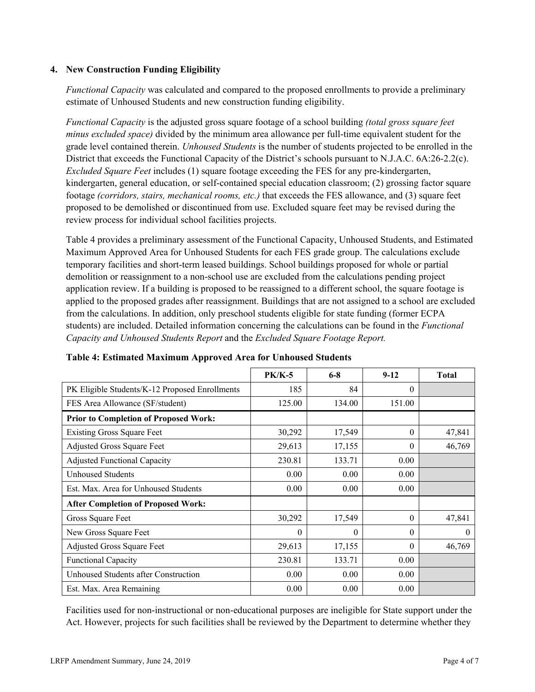### **4. New Construction Funding Eligibility**

*Functional Capacity* was calculated and compared to the proposed enrollments to provide a preliminary estimate of Unhoused Students and new construction funding eligibility.

*Functional Capacity* is the adjusted gross square footage of a school building *(total gross square feet minus excluded space)* divided by the minimum area allowance per full-time equivalent student for the grade level contained therein. *Unhoused Students* is the number of students projected to be enrolled in the District that exceeds the Functional Capacity of the District's schools pursuant to N.J.A.C. 6A:26-2.2(c). *Excluded Square Feet* includes (1) square footage exceeding the FES for any pre-kindergarten, kindergarten, general education, or self-contained special education classroom; (2) grossing factor square footage *(corridors, stairs, mechanical rooms, etc.)* that exceeds the FES allowance, and (3) square feet proposed to be demolished or discontinued from use. Excluded square feet may be revised during the review process for individual school facilities projects.

Table 4 provides a preliminary assessment of the Functional Capacity, Unhoused Students, and Estimated Maximum Approved Area for Unhoused Students for each FES grade group. The calculations exclude temporary facilities and short-term leased buildings. School buildings proposed for whole or partial demolition or reassignment to a non-school use are excluded from the calculations pending project application review. If a building is proposed to be reassigned to a different school, the square footage is applied to the proposed grades after reassignment. Buildings that are not assigned to a school are excluded from the calculations. In addition, only preschool students eligible for state funding (former ECPA students) are included. Detailed information concerning the calculations can be found in the *Functional Capacity and Unhoused Students Report* and the *Excluded Square Footage Report.*

|                                                | <b>PK/K-5</b> | $6 - 8$  | $9-12$   | <b>Total</b> |
|------------------------------------------------|---------------|----------|----------|--------------|
| PK Eligible Students/K-12 Proposed Enrollments | 185           | 84       | $\Omega$ |              |
| FES Area Allowance (SF/student)                | 125.00        | 134.00   | 151.00   |              |
| <b>Prior to Completion of Proposed Work:</b>   |               |          |          |              |
| <b>Existing Gross Square Feet</b>              | 30,292        | 17,549   | $\theta$ | 47,841       |
| Adjusted Gross Square Feet                     | 29,613        | 17,155   | $\theta$ | 46,769       |
| <b>Adjusted Functional Capacity</b>            | 230.81        | 133.71   | 0.00     |              |
| Unhoused Students                              | 0.00          | 0.00     | 0.00     |              |
| Est. Max. Area for Unhoused Students           | 0.00          | 0.00     | 0.00     |              |
| <b>After Completion of Proposed Work:</b>      |               |          |          |              |
| Gross Square Feet                              | 30,292        | 17,549   | $\Omega$ | 47,841       |
| New Gross Square Feet                          | 0             | $\theta$ | $\theta$ | $\theta$     |
| <b>Adjusted Gross Square Feet</b>              | 29,613        | 17,155   | $\Omega$ | 46,769       |
| Functional Capacity                            | 230.81        | 133.71   | 0.00     |              |
| Unhoused Students after Construction           | 0.00          | 0.00     | 0.00     |              |
| Est. Max. Area Remaining                       | 0.00          | 0.00     | 0.00     |              |

### **Table 4: Estimated Maximum Approved Area for Unhoused Students**

Facilities used for non-instructional or non-educational purposes are ineligible for State support under the Act. However, projects for such facilities shall be reviewed by the Department to determine whether they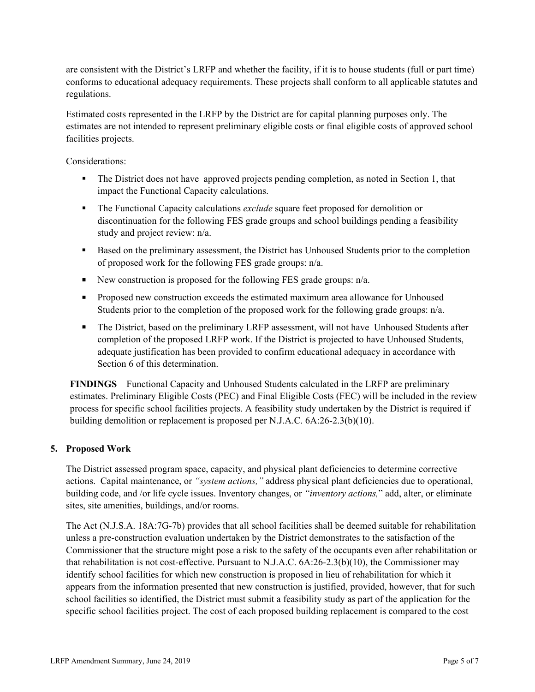are consistent with the District's LRFP and whether the facility, if it is to house students (full or part time) conforms to educational adequacy requirements. These projects shall conform to all applicable statutes and regulations.

Estimated costs represented in the LRFP by the District are for capital planning purposes only. The estimates are not intended to represent preliminary eligible costs or final eligible costs of approved school facilities projects.

Considerations:

- The District does not have approved projects pending completion, as noted in Section 1, that impact the Functional Capacity calculations.
- The Functional Capacity calculations *exclude* square feet proposed for demolition or discontinuation for the following FES grade groups and school buildings pending a feasibility study and project review: n/a.
- Based on the preliminary assessment, the District has Unhoused Students prior to the completion of proposed work for the following FES grade groups: n/a.
- New construction is proposed for the following FES grade groups:  $n/a$ .
- **Proposed new construction exceeds the estimated maximum area allowance for Unhoused** Students prior to the completion of the proposed work for the following grade groups: n/a.
- The District, based on the preliminary LRFP assessment, will not have Unhoused Students after completion of the proposed LRFP work. If the District is projected to have Unhoused Students, adequate justification has been provided to confirm educational adequacy in accordance with Section 6 of this determination.

**FINDINGS** Functional Capacity and Unhoused Students calculated in the LRFP are preliminary estimates. Preliminary Eligible Costs (PEC) and Final Eligible Costs (FEC) will be included in the review process for specific school facilities projects. A feasibility study undertaken by the District is required if building demolition or replacement is proposed per N.J.A.C. 6A:26-2.3(b)(10).

### **5. Proposed Work**

The District assessed program space, capacity, and physical plant deficiencies to determine corrective actions. Capital maintenance, or *"system actions,"* address physical plant deficiencies due to operational, building code, and /or life cycle issues. Inventory changes, or *"inventory actions,*" add, alter, or eliminate sites, site amenities, buildings, and/or rooms.

The Act (N.J.S.A. 18A:7G-7b) provides that all school facilities shall be deemed suitable for rehabilitation unless a pre-construction evaluation undertaken by the District demonstrates to the satisfaction of the Commissioner that the structure might pose a risk to the safety of the occupants even after rehabilitation or that rehabilitation is not cost-effective. Pursuant to N.J.A.C. 6A:26-2.3(b)(10), the Commissioner may identify school facilities for which new construction is proposed in lieu of rehabilitation for which it appears from the information presented that new construction is justified, provided, however, that for such school facilities so identified, the District must submit a feasibility study as part of the application for the specific school facilities project. The cost of each proposed building replacement is compared to the cost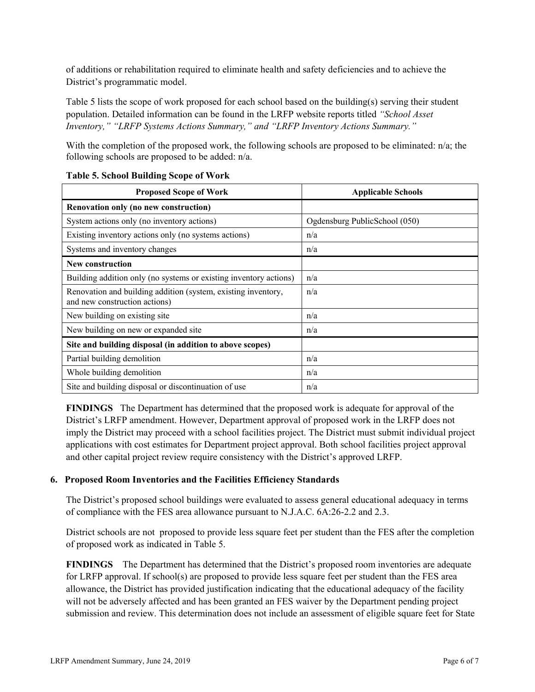of additions or rehabilitation required to eliminate health and safety deficiencies and to achieve the District's programmatic model.

Table 5 lists the scope of work proposed for each school based on the building(s) serving their student population. Detailed information can be found in the LRFP website reports titled *"School Asset Inventory," "LRFP Systems Actions Summary," and "LRFP Inventory Actions Summary."*

With the completion of the proposed work, the following schools are proposed to be eliminated: n/a; the following schools are proposed to be added: n/a.

| <b>Proposed Scope of Work</b>                                                                  | <b>Applicable Schools</b>     |
|------------------------------------------------------------------------------------------------|-------------------------------|
| Renovation only (no new construction)                                                          |                               |
| System actions only (no inventory actions)                                                     | Ogdensburg PublicSchool (050) |
| Existing inventory actions only (no systems actions)                                           | n/a                           |
| Systems and inventory changes                                                                  | n/a                           |
| <b>New construction</b>                                                                        |                               |
| Building addition only (no systems or existing inventory actions)                              | n/a                           |
| Renovation and building addition (system, existing inventory,<br>and new construction actions) | n/a                           |
| New building on existing site                                                                  | n/a                           |
| New building on new or expanded site                                                           | n/a                           |
| Site and building disposal (in addition to above scopes)                                       |                               |
| Partial building demolition                                                                    | n/a                           |
| Whole building demolition                                                                      | n/a                           |
| Site and building disposal or discontinuation of use                                           | n/a                           |

### **Table 5. School Building Scope of Work**

**FINDINGS** The Department has determined that the proposed work is adequate for approval of the District's LRFP amendment. However, Department approval of proposed work in the LRFP does not imply the District may proceed with a school facilities project. The District must submit individual project applications with cost estimates for Department project approval. Both school facilities project approval and other capital project review require consistency with the District's approved LRFP.

# **6. Proposed Room Inventories and the Facilities Efficiency Standards**

The District's proposed school buildings were evaluated to assess general educational adequacy in terms of compliance with the FES area allowance pursuant to N.J.A.C. 6A:26-2.2 and 2.3.

District schools are not proposed to provide less square feet per student than the FES after the completion of proposed work as indicated in Table 5.

**FINDINGS** The Department has determined that the District's proposed room inventories are adequate for LRFP approval. If school(s) are proposed to provide less square feet per student than the FES area allowance, the District has provided justification indicating that the educational adequacy of the facility will not be adversely affected and has been granted an FES waiver by the Department pending project submission and review. This determination does not include an assessment of eligible square feet for State